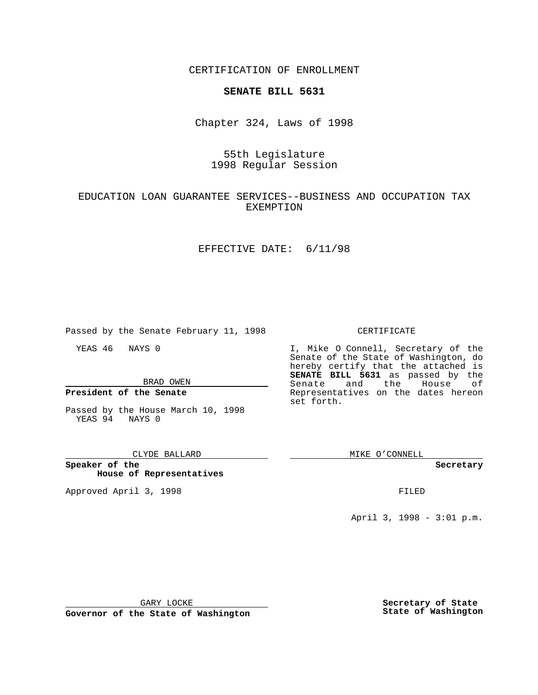CERTIFICATION OF ENROLLMENT

# **SENATE BILL 5631**

Chapter 324, Laws of 1998

# 55th Legislature 1998 Regular Session

## EDUCATION LOAN GUARANTEE SERVICES--BUSINESS AND OCCUPATION TAX EXEMPTION

### EFFECTIVE DATE: 6/11/98

Passed by the Senate February 11, 1998

YEAS 46 NAYS 0

BRAD OWEN

**President of the Senate**

Passed by the House March 10, 1998 YEAS 94 NAYS 0

#### CLYDE BALLARD

**Speaker of the House of Representatives**

Approved April 3, 1998 **FILED** 

#### CERTIFICATE

I, Mike O Connell, Secretary of the Senate of the State of Washington, do hereby certify that the attached is **SENATE BILL 5631** as passed by the Senate and the House of Representatives on the dates hereon set forth.

MIKE O'CONNELL

#### **Secretary**

April 3, 1998 - 3:01 p.m.

GARY LOCKE

**Governor of the State of Washington**

**Secretary of State State of Washington**